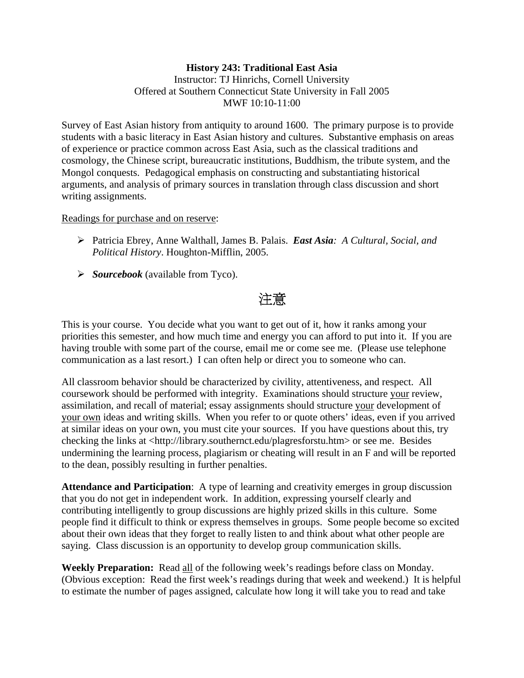# **History 243: Traditional East Asia**  Instructor: TJ Hinrichs, Cornell University Offered at Southern Connecticut State University in Fall 2005 MWF 10:10-11:00

Survey of East Asian history from antiquity to around 1600. The primary purpose is to provide students with a basic literacy in East Asian history and cultures. Substantive emphasis on areas of experience or practice common across East Asia, such as the classical traditions and cosmology, the Chinese script, bureaucratic institutions, Buddhism, the tribute system, and the Mongol conquests. Pedagogical emphasis on constructing and substantiating historical arguments, and analysis of primary sources in translation through class discussion and short writing assignments.

# Readings for purchase and on reserve:

- ¾ Patricia Ebrey, Anne Walthall, James B. Palais. *East Asia: A Cultural, Social, and Political History*. Houghton-Mifflin, 2005.
- ¾ *Sourcebook* (available from Tyco).

# 注意

This is your course. You decide what you want to get out of it, how it ranks among your priorities this semester, and how much time and energy you can afford to put into it. If you are having trouble with some part of the course, email me or come see me. (Please use telephone communication as a last resort.) I can often help or direct you to someone who can.

All classroom behavior should be characterized by civility, attentiveness, and respect. All coursework should be performed with integrity. Examinations should structure your review, assimilation, and recall of material; essay assignments should structure your development of your own ideas and writing skills. When you refer to or quote others' ideas, even if you arrived at similar ideas on your own, you must cite your sources. If you have questions about this, try checking the links at <http://library.southernct.edu/plagresforstu.htm> or see me. Besides undermining the learning process, plagiarism or cheating will result in an F and will be reported to the dean, possibly resulting in further penalties.

**Attendance and Participation**: A type of learning and creativity emerges in group discussion that you do not get in independent work. In addition, expressing yourself clearly and contributing intelligently to group discussions are highly prized skills in this culture. Some people find it difficult to think or express themselves in groups. Some people become so excited about their own ideas that they forget to really listen to and think about what other people are saying. Class discussion is an opportunity to develop group communication skills.

**Weekly Preparation:** Read all of the following week's readings before class on Monday. (Obvious exception: Read the first week's readings during that week and weekend.) It is helpful to estimate the number of pages assigned, calculate how long it will take you to read and take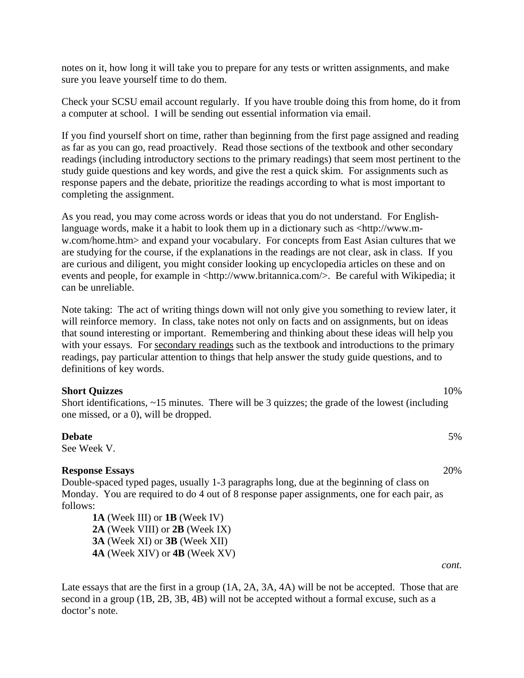notes on it, how long it will take you to prepare for any tests or written assignments, and make sure you leave yourself time to do them.

Check your SCSU email account regularly. If you have trouble doing this from home, do it from a computer at school. I will be sending out essential information via email.

If you find yourself short on time, rather than beginning from the first page assigned and reading as far as you can go, read proactively. Read those sections of the textbook and other secondary readings (including introductory sections to the primary readings) that seem most pertinent to the study guide questions and key words, and give the rest a quick skim. For assignments such as response papers and the debate, prioritize the readings according to what is most important to completing the assignment.

As you read, you may come across words or ideas that you do not understand. For Englishlanguage words, make it a habit to look them up in a dictionary such as <http://www.mw.com/home.htm> and expand your vocabulary. For concepts from East Asian cultures that we are studying for the course, if the explanations in the readings are not clear, ask in class. If you are curious and diligent, you might consider looking up encyclopedia articles on these and on events and people, for example in <http://www.britannica.com/>. Be careful with Wikipedia; it can be unreliable.

Note taking: The act of writing things down will not only give you something to review later, it will reinforce memory. In class, take notes not only on facts and on assignments, but on ideas that sound interesting or important. Remembering and thinking about these ideas will help you with your essays. For secondary readings such as the textbook and introductions to the primary readings, pay particular attention to things that help answer the study guide questions, and to definitions of key words.

#### **Short Quizzes** 10%

Short identifications, ~15 minutes. There will be 3 quizzes; the grade of the lowest (including one missed, or a 0), will be dropped.

#### **Debate** 5% 5%

See Week V.

#### **Response Essays** 20%

Double-spaced typed pages, usually 1-3 paragraphs long, due at the beginning of class on Monday. You are required to do 4 out of 8 response paper assignments, one for each pair, as follows:

**1A** (Week III) or **1B** (Week IV) **2A** (Week VIII) or **2B** (Week IX) **3A** (Week XI) or **3B** (Week XII) **4A** (Week XIV) or **4B** (Week XV)

Late essays that are the first in a group (1A, 2A, 3A, 4A) will be not be accepted. Those that are second in a group (1B, 2B, 3B, 4B) will not be accepted without a formal excuse, such as a doctor's note.

*cont.*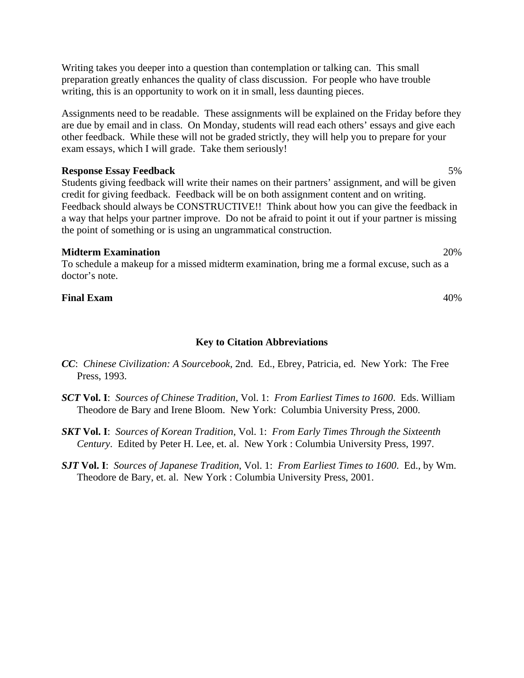Writing takes you deeper into a question than contemplation or talking can. This small preparation greatly enhances the quality of class discussion. For people who have trouble writing, this is an opportunity to work on it in small, less daunting pieces.

Assignments need to be readable. These assignments will be explained on the Friday before they are due by email and in class. On Monday, students will read each others' essays and give each other feedback. While these will not be graded strictly, they will help you to prepare for your exam essays, which I will grade. Take them seriously!

### **Response Essay Feedback** 5%

Students giving feedback will write their names on their partners' assignment, and will be given credit for giving feedback. Feedback will be on both assignment content and on writing. Feedback should always be CONSTRUCTIVE!! Think about how you can give the feedback in a way that helps your partner improve. Do not be afraid to point it out if your partner is missing the point of something or is using an ungrammatical construction.

### **Midterm Examination** 20%

To schedule a makeup for a missed midterm examination, bring me a formal excuse, such as a doctor's note.

# **Final Exam** 40%

# **Key to Citation Abbreviations**

- *CC*: *Chinese Civilization: A Sourcebook*, 2nd. Ed., Ebrey, Patricia, ed. New York: The Free Press, 1993.
- *SCT* **Vol. I**: *Sources of Chinese Tradition*, Vol. 1: *From Earliest Times to 1600*. Eds. William Theodore de Bary and Irene Bloom. New York: Columbia University Press, 2000.
- *SKT* **Vol. I**: *Sources of Korean Tradition*, Vol. 1: *From Early Times Through the Sixteenth Century*. Edited by Peter H. Lee, et. al. New York : Columbia University Press, 1997.
- *SJT* **Vol. I**: *Sources of Japanese Tradition*, Vol. 1: *From Earliest Times to 1600*. Ed., by Wm. Theodore de Bary, et. al. New York : Columbia University Press, 2001.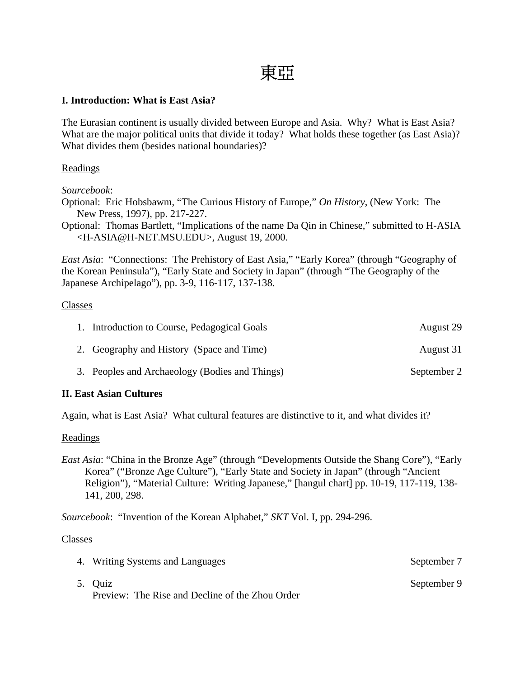# 東亞

# **I. Introduction: What is East Asia?**

The Eurasian continent is usually divided between Europe and Asia. Why? What is East Asia? What are the major political units that divide it today? What holds these together (as East Asia)? What divides them (besides national boundaries)?

# Readings

*Sourcebook*:

Optional: Eric Hobsbawm, "The Curious History of Europe," *On History*, (New York: The New Press, 1997), pp. 217-227.

Optional: Thomas Bartlett, "Implications of the name Da Qin in Chinese," submitted to H-ASIA <H-ASIA@H-NET.MSU.EDU>, August 19, 2000.

*East Asia*: "Connections: The Prehistory of East Asia," "Early Korea" (through "Geography of the Korean Peninsula"), "Early State and Society in Japan" (through "The Geography of the Japanese Archipelago"), pp. 3-9, 116-117, 137-138.

# Classes

| 1. Introduction to Course, Pedagogical Goals   | August 29   |
|------------------------------------------------|-------------|
| 2. Geography and History (Space and Time)      | August 31   |
| 3. Peoples and Archaeology (Bodies and Things) | September 2 |

# **II. East Asian Cultures**

Again, what is East Asia? What cultural features are distinctive to it, and what divides it?

# Readings

*East Asia*: "China in the Bronze Age" (through "Developments Outside the Shang Core"), "Early Korea" ("Bronze Age Culture"), "Early State and Society in Japan" (through "Ancient Religion"), "Material Culture: Writing Japanese," [hangul chart] pp. 10-19, 117-119, 138- 141, 200, 298.

*Sourcebook*: "Invention of the Korean Alphabet," *SKT* Vol. I, pp. 294-296.

- 4. Writing Systems and Languages September 7
- 5. Quiz September 9 Preview: The Rise and Decline of the Zhou Order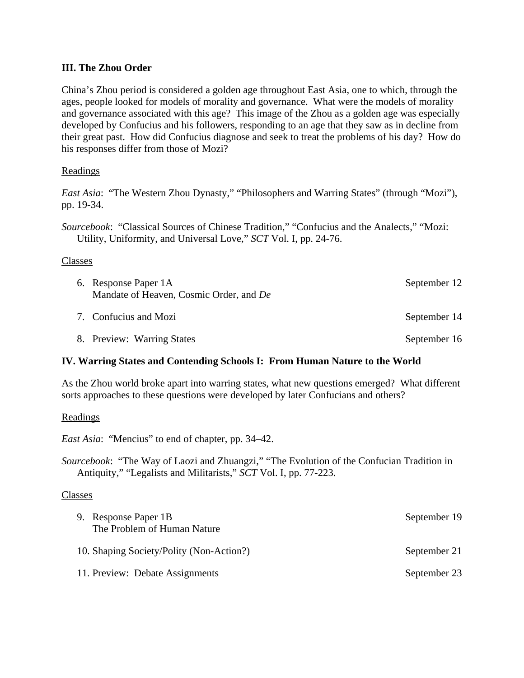# **III. The Zhou Order**

China's Zhou period is considered a golden age throughout East Asia, one to which, through the ages, people looked for models of morality and governance. What were the models of morality and governance associated with this age? This image of the Zhou as a golden age was especially developed by Confucius and his followers, responding to an age that they saw as in decline from their great past. How did Confucius diagnose and seek to treat the problems of his day? How do his responses differ from those of Mozi?

# Readings

*East Asia*: "The Western Zhou Dynasty," "Philosophers and Warring States" (through "Mozi"), pp. 19-34.

*Sourcebook*: "Classical Sources of Chinese Tradition," "Confucius and the Analects," "Mozi: Utility, Uniformity, and Universal Love," *SCT* Vol. I, pp. 24-76.

# Classes

| 6. Response Paper 1A<br>Mandate of Heaven, Cosmic Order, and De | September 12 |
|-----------------------------------------------------------------|--------------|
| 7. Confucius and Mozi                                           | September 14 |
| 8. Preview: Warring States                                      | September 16 |

# **IV. Warring States and Contending Schools I: From Human Nature to the World**

As the Zhou world broke apart into warring states, what new questions emerged? What different sorts approaches to these questions were developed by later Confucians and others?

Readings

*East Asia*: "Mencius" to end of chapter, pp. 34–42.

*Sourcebook*: "The Way of Laozi and Zhuangzi," "The Evolution of the Confucian Tradition in Antiquity," "Legalists and Militarists," *SCT* Vol. I, pp. 77-223.

| 9. Response Paper 1B<br>The Problem of Human Nature | September 19 |
|-----------------------------------------------------|--------------|
| 10. Shaping Society/Polity (Non-Action?)            | September 21 |
| 11. Preview: Debate Assignments                     | September 23 |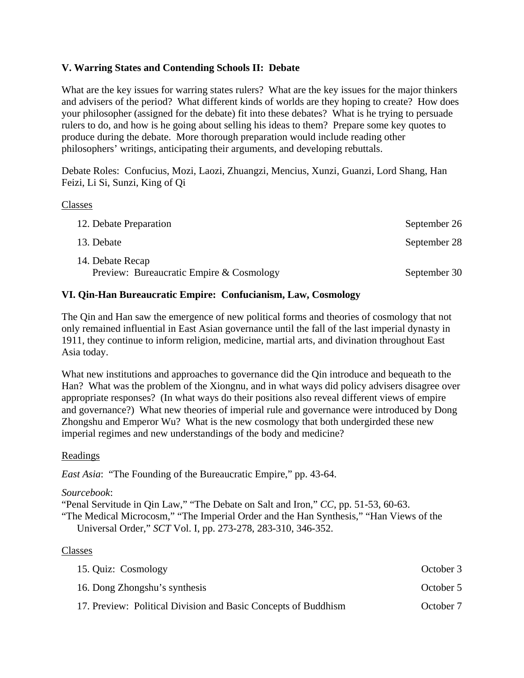# **V. Warring States and Contending Schools II: Debate**

What are the key issues for warring states rulers? What are the key issues for the major thinkers and advisers of the period? What different kinds of worlds are they hoping to create? How does your philosopher (assigned for the debate) fit into these debates? What is he trying to persuade rulers to do, and how is he going about selling his ideas to them? Prepare some key quotes to produce during the debate. More thorough preparation would include reading other philosophers' writings, anticipating their arguments, and developing rebuttals.

Debate Roles: Confucius, Mozi, Laozi, Zhuangzi, Mencius, Xunzi, Guanzi, Lord Shang, Han Feizi, Li Si, Sunzi, King of Qi

### Classes

| 12. Debate Preparation                                       | September 26 |
|--------------------------------------------------------------|--------------|
| 13. Debate                                                   | September 28 |
| 14. Debate Recap<br>Preview: Bureaucratic Empire & Cosmology | September 30 |

# **VI. Qin-Han Bureaucratic Empire: Confucianism, Law, Cosmology**

The Qin and Han saw the emergence of new political forms and theories of cosmology that not only remained influential in East Asian governance until the fall of the last imperial dynasty in 1911, they continue to inform religion, medicine, martial arts, and divination throughout East Asia today.

What new institutions and approaches to governance did the Qin introduce and bequeath to the Han? What was the problem of the Xiongnu, and in what ways did policy advisers disagree over appropriate responses? (In what ways do their positions also reveal different views of empire and governance?) What new theories of imperial rule and governance were introduced by Dong Zhongshu and Emperor Wu? What is the new cosmology that both undergirded these new imperial regimes and new understandings of the body and medicine?

# Readings

*East Asia*: "The Founding of the Bureaucratic Empire," pp. 43-64.

# *Sourcebook*:

"Penal Servitude in Qin Law," "The Debate on Salt and Iron," *CC*, pp. 51-53, 60-63.

"The Medical Microcosm," "The Imperial Order and the Han Synthesis," "Han Views of the Universal Order," *SCT* Vol. I, pp. 273-278, 283-310, 346-352.

| 15. Quiz: Cosmology                                            | October 3 |
|----------------------------------------------------------------|-----------|
| 16. Dong Zhongshu's synthesis                                  | October 5 |
| 17. Preview: Political Division and Basic Concepts of Buddhism | October 7 |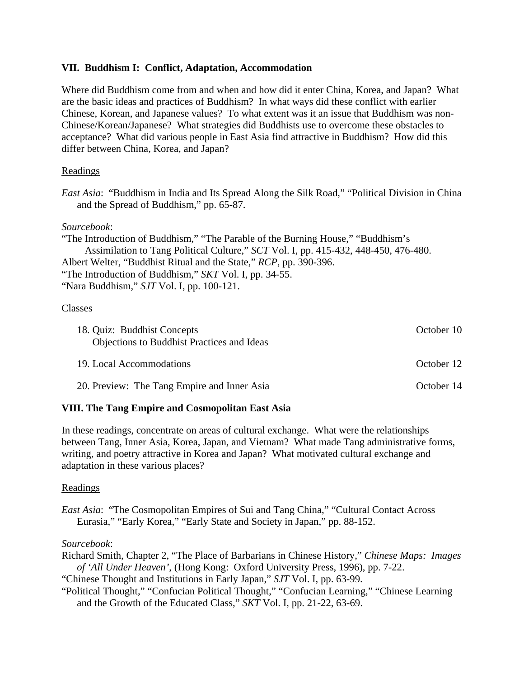# **VII. Buddhism I: Conflict, Adaptation, Accommodation**

Where did Buddhism come from and when and how did it enter China, Korea, and Japan? What are the basic ideas and practices of Buddhism? In what ways did these conflict with earlier Chinese, Korean, and Japanese values? To what extent was it an issue that Buddhism was non-Chinese/Korean/Japanese? What strategies did Buddhists use to overcome these obstacles to acceptance? What did various people in East Asia find attractive in Buddhism? How did this differ between China, Korea, and Japan?

# Readings

*East Asia*: "Buddhism in India and Its Spread Along the Silk Road," "Political Division in China and the Spread of Buddhism," pp. 65-87.

# *Sourcebook*:

"The Introduction of Buddhism," "The Parable of the Burning House," "Buddhism's Assimilation to Tang Political Culture," *SCT* Vol. I, pp. 415-432, 448-450, 476-480. Albert Welter, "Buddhist Ritual and the State," *RCP*, pp. 390-396. "The Introduction of Buddhism," *SKT* Vol. I, pp. 34-55. "Nara Buddhism," *SJT* Vol. I, pp. 100-121.

# Classes

| 18. Quiz: Buddhist Concepts<br><b>Objections to Buddhist Practices and Ideas</b> | October 10 |
|----------------------------------------------------------------------------------|------------|
| 19. Local Accommodations                                                         | October 12 |
| 20. Preview: The Tang Empire and Inner Asia                                      | October 14 |

# **VIII. The Tang Empire and Cosmopolitan East Asia**

In these readings, concentrate on areas of cultural exchange. What were the relationships between Tang, Inner Asia, Korea, Japan, and Vietnam? What made Tang administrative forms, writing, and poetry attractive in Korea and Japan? What motivated cultural exchange and adaptation in these various places?

# Readings

*East Asia*: "The Cosmopolitan Empires of Sui and Tang China," "Cultural Contact Across Eurasia," "Early Korea," "Early State and Society in Japan," pp. 88-152.

# *Sourcebook*:

Richard Smith, Chapter 2, "The Place of Barbarians in Chinese History," *Chinese Maps: Images of 'All Under Heaven'*, (Hong Kong: Oxford University Press, 1996), pp. 7-22.

"Chinese Thought and Institutions in Early Japan," *SJT* Vol. I, pp. 63-99.

"Political Thought," "Confucian Political Thought," "Confucian Learning," "Chinese Learning and the Growth of the Educated Class," *SKT* Vol. I, pp. 21-22, 63-69.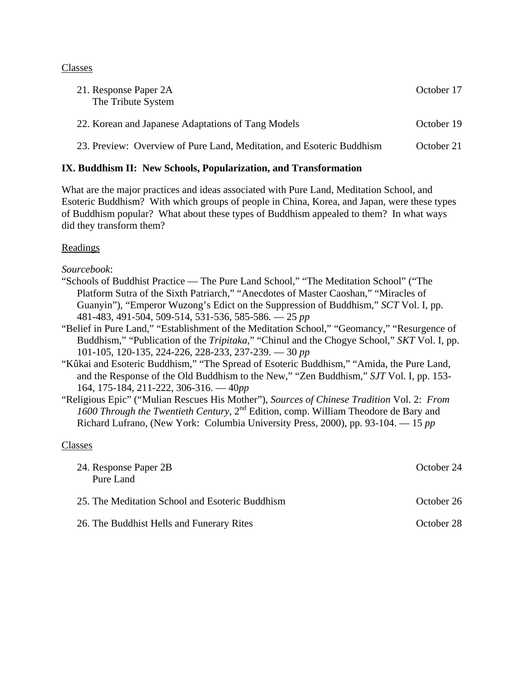## Classes

| 21. Response Paper 2A<br>The Tribute System                           | October 17 |
|-----------------------------------------------------------------------|------------|
| 22. Korean and Japanese Adaptations of Tang Models                    | October 19 |
| 23. Preview: Overview of Pure Land, Meditation, and Esoteric Buddhism | October 21 |

# **IX. Buddhism II: New Schools, Popularization, and Transformation**

What are the major practices and ideas associated with Pure Land, Meditation School, and Esoteric Buddhism? With which groups of people in China, Korea, and Japan, were these types of Buddhism popular? What about these types of Buddhism appealed to them? In what ways did they transform them?

# Readings

*Sourcebook*:

- "Schools of Buddhist Practice The Pure Land School," "The Meditation School" ("The Platform Sutra of the Sixth Patriarch," "Anecdotes of Master Caoshan," "Miracles of Guanyin"), "Emperor Wuzong's Edict on the Suppression of Buddhism," *SCT* Vol. I, pp. 481-483, 491-504, 509-514, 531-536, 585-586. — 25 *pp*
- "Belief in Pure Land," "Establishment of the Meditation School," "Geomancy," "Resurgence of Buddhism," "Publication of the *Tripitaka*," "Chinul and the Chogye School," *SKT* Vol. I, pp. 101-105, 120-135, 224-226, 228-233, 237-239. — 30 *pp*
- "Kûkai and Esoteric Buddhism," "The Spread of Esoteric Buddhism," "Amida, the Pure Land, and the Response of the Old Buddhism to the New," "Zen Buddhism," *SJT* Vol. I, pp. 153- 164, 175-184, 211-222, 306-316. — 40*pp*
- "Religious Epic" ("Mulian Rescues His Mother"), *Sources of Chinese Tradition* Vol. 2: *From 1600 Through the Twentieth Century*, 2nd Edition, comp. William Theodore de Bary and Richard Lufrano, (New York: Columbia University Press, 2000), pp. 93-104. — 15 *pp*

| 24. Response Paper 2B<br>Pure Land              | October 24 |
|-------------------------------------------------|------------|
| 25. The Meditation School and Esoteric Buddhism | October 26 |
| 26. The Buddhist Hells and Funerary Rites       | October 28 |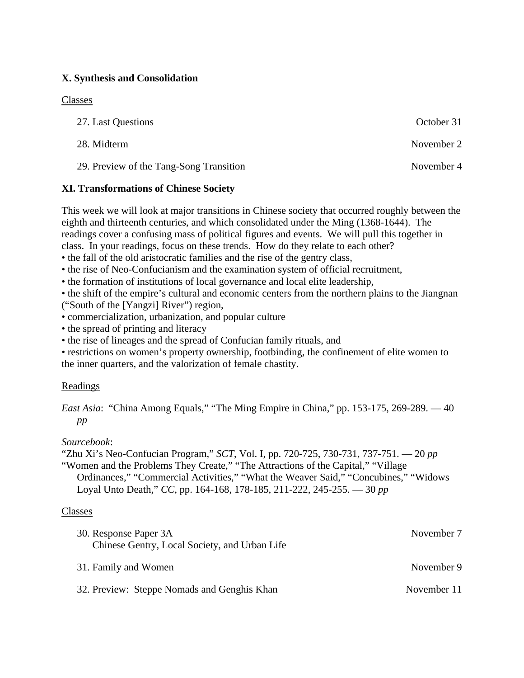# **X. Synthesis and Consolidation**

## Classes

| 27. Last Questions                      | October 31 |
|-----------------------------------------|------------|
| 28. Midterm                             | November 2 |
| 29. Preview of the Tang-Song Transition | November 4 |

# **XI. Transformations of Chinese Society**

This week we will look at major transitions in Chinese society that occurred roughly between the eighth and thirteenth centuries, and which consolidated under the Ming (1368-1644). The readings cover a confusing mass of political figures and events. We will pull this together in class. In your readings, focus on these trends. How do they relate to each other?

• the fall of the old aristocratic families and the rise of the gentry class,

- the rise of Neo-Confucianism and the examination system of official recruitment,
- the formation of institutions of local governance and local elite leadership,

• the shift of the empire's cultural and economic centers from the northern plains to the Jiangnan ("South of the [Yangzi] River") region,

- commercialization, urbanization, and popular culture
- the spread of printing and literacy
- the rise of lineages and the spread of Confucian family rituals, and

• restrictions on women's property ownership, footbinding, the confinement of elite women to the inner quarters, and the valorization of female chastity.

# Readings

*East Asia*: "China Among Equals," "The Ming Empire in China," pp. 153-175, 269-289. — 40 *pp*

# *Sourcebook*:

"Zhu Xi's Neo-Confucian Program," *SCT*, Vol. I, pp. 720-725, 730-731, 737-751. — 20 *pp*

"Women and the Problems They Create," "The Attractions of the Capital," "Village Ordinances," "Commercial Activities," "What the Weaver Said," "Concubines," "Widows Loyal Unto Death," *CC*, pp. 164-168, 178-185, 211-222, 245-255. — 30 *pp*

| 30. Response Paper 3A                         | November 7  |
|-----------------------------------------------|-------------|
| Chinese Gentry, Local Society, and Urban Life |             |
| 31. Family and Women                          | November 9  |
| 32. Preview: Steppe Nomads and Genghis Khan   | November 11 |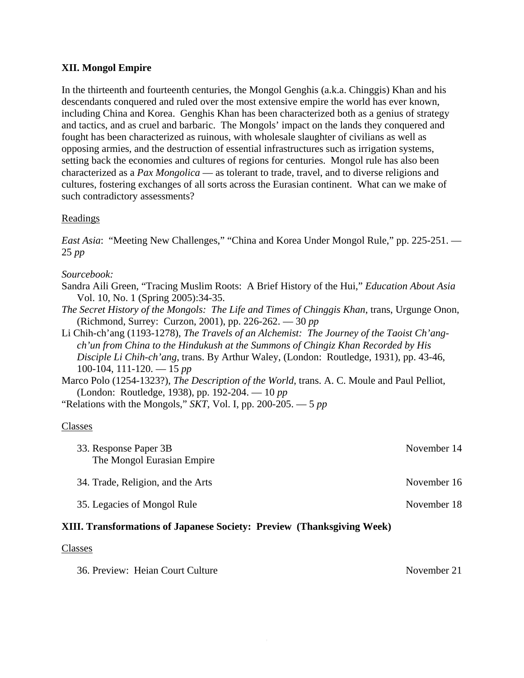# **XII. Mongol Empire**

In the thirteenth and fourteenth centuries, the Mongol Genghis (a.k.a. Chinggis) Khan and his descendants conquered and ruled over the most extensive empire the world has ever known, including China and Korea. Genghis Khan has been characterized both as a genius of strategy and tactics, and as cruel and barbaric. The Mongols' impact on the lands they conquered and fought has been characterized as ruinous, with wholesale slaughter of civilians as well as opposing armies, and the destruction of essential infrastructures such as irrigation systems, setting back the economies and cultures of regions for centuries. Mongol rule has also been characterized as a *Pax Mongolica* — as tolerant to trade, travel, and to diverse religions and cultures, fostering exchanges of all sorts across the Eurasian continent. What can we make of such contradictory assessments?

### Readings

*East Asia*: "Meeting New Challenges," "China and Korea Under Mongol Rule," pp. 225-251. — 25 *pp*

#### *Sourcebook:*

- Sandra Aili Green, "Tracing Muslim Roots: A Brief History of the Hui," *Education About Asia*  Vol. 10, No. 1 (Spring 2005):34-35.
- *The Secret History of the Mongols: The Life and Times of Chinggis Khan*, trans, Urgunge Onon, (Richmond, Surrey: Curzon, 2001), pp. 226-262. — 30 *pp*
- Li Chih-ch'ang (1193-1278), *The Travels of an Alchemist: The Journey of the Taoist Ch'angch'un from China to the Hindukush at the Summons of Chingiz Khan Recorded by His Disciple Li Chih-ch'ang*, trans. By Arthur Waley, (London: Routledge, 1931), pp. 43-46, 100-104, 111-120. — 15 *pp*
- Marco Polo (1254-1323?), *The Description of the World*, trans. A. C. Moule and Paul Pelliot, (London: Routledge, 1938), pp. 192-204. — 10 *pp*
- "Relations with the Mongols," *SKT*, Vol. I, pp. 200-205. 5 *pp*

#### Classes

| November 14 |
|-------------|
| November 16 |
| November 18 |
|             |

# **XIII. Transformations of Japanese Society: Preview (Thanksgiving Week)**

#### Classes

36. Preview: Heian Court Culture November 21